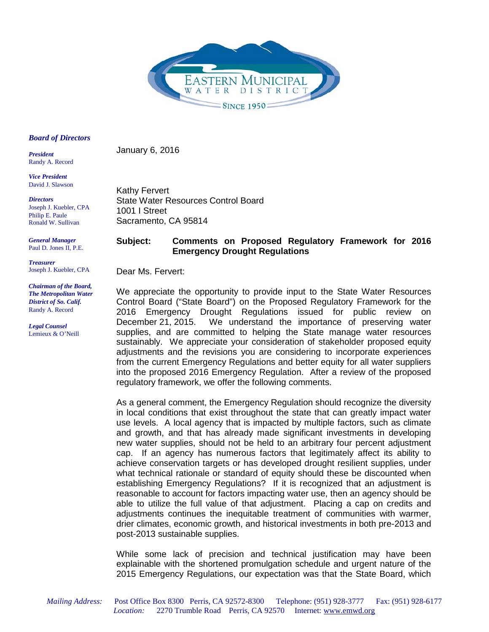

#### *Board of Directors*

*President*  Randy A. Record

*Vice President*  David J. Slawson

*Directors* Joseph J. Kuebler, CPA Philip E. Paule Ronald W. Sullivan

*General Manager* Paul D. Jones II, P.E.

*Treasurer* Joseph J. Kuebler, CPA

*Chairman of the Board, The Metropolitan Water District of So. Calif.*  Randy A. Record

*Legal Counsel*  Lemieux & O'Neill Kathy Fervert State Water Resources Control Board 1001 I Street

# **Subject: Comments on Proposed Regulatory Framework for 2016 Emergency Drought Regulations**

Dear Ms. Fervert:

Sacramento, CA 95814

January 6, 2016

We appreciate the opportunity to provide input to the State Water Resources Control Board ("State Board") on the Proposed Regulatory Framework for the 2016 Emergency Drought Regulations issued for public review on December 21, 2015. We understand the importance of preserving water supplies, and are committed to helping the State manage water resources sustainably. We appreciate your consideration of stakeholder proposed equity adjustments and the revisions you are considering to incorporate experiences from the current Emergency Regulations and better equity for all water suppliers into the proposed 2016 Emergency Regulation. After a review of the proposed regulatory framework, we offer the following comments.

As a general comment, the Emergency Regulation should recognize the diversity in local conditions that exist throughout the state that can greatly impact water use levels. A local agency that is impacted by multiple factors, such as climate and growth, and that has already made significant investments in developing new water supplies, should not be held to an arbitrary four percent adjustment cap. If an agency has numerous factors that legitimately affect its ability to achieve conservation targets or has developed drought resilient supplies, under what technical rationale or standard of equity should these be discounted when establishing Emergency Regulations? If it is recognized that an adjustment is reasonable to account for factors impacting water use, then an agency should be able to utilize the full value of that adjustment. Placing a cap on credits and adjustments continues the inequitable treatment of communities with warmer, drier climates, economic growth, and historical investments in both pre-2013 and post-2013 sustainable supplies.

While some lack of precision and technical justification may have been explainable with the shortened promulgation schedule and urgent nature of the 2015 Emergency Regulations, our expectation was that the State Board, which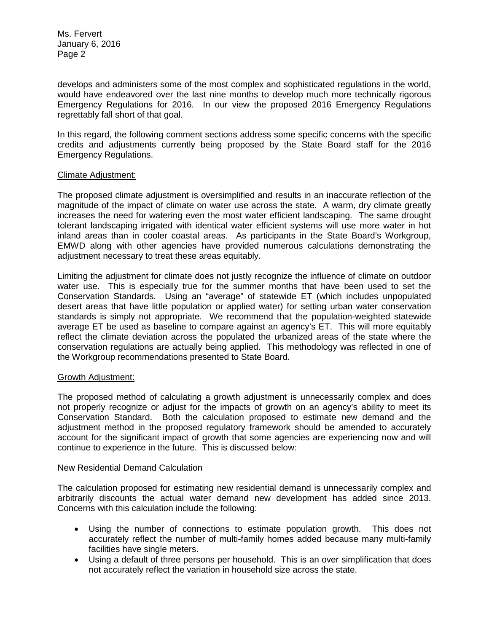develops and administers some of the most complex and sophisticated regulations in the world, would have endeavored over the last nine months to develop much more technically rigorous Emergency Regulations for 2016. In our view the proposed 2016 Emergency Regulations regrettably fall short of that goal.

In this regard, the following comment sections address some specific concerns with the specific credits and adjustments currently being proposed by the State Board staff for the 2016 Emergency Regulations.

#### Climate Adjustment:

The proposed climate adjustment is oversimplified and results in an inaccurate reflection of the magnitude of the impact of climate on water use across the state. A warm, dry climate greatly increases the need for watering even the most water efficient landscaping. The same drought tolerant landscaping irrigated with identical water efficient systems will use more water in hot inland areas than in cooler coastal areas. As participants in the State Board's Workgroup, EMWD along with other agencies have provided numerous calculations demonstrating the adjustment necessary to treat these areas equitably.

Limiting the adjustment for climate does not justly recognize the influence of climate on outdoor water use. This is especially true for the summer months that have been used to set the Conservation Standards. Using an "average" of statewide ET (which includes unpopulated desert areas that have little population or applied water) for setting urban water conservation standards is simply not appropriate. We recommend that the population-weighted statewide average ET be used as baseline to compare against an agency's ET. This will more equitably reflect the climate deviation across the populated the urbanized areas of the state where the conservation regulations are actually being applied. This methodology was reflected in one of the Workgroup recommendations presented to State Board.

#### Growth Adjustment:

The proposed method of calculating a growth adjustment is unnecessarily complex and does not properly recognize or adjust for the impacts of growth on an agency's ability to meet its Conservation Standard. Both the calculation proposed to estimate new demand and the adjustment method in the proposed regulatory framework should be amended to accurately account for the significant impact of growth that some agencies are experiencing now and will continue to experience in the future. This is discussed below:

## New Residential Demand Calculation

The calculation proposed for estimating new residential demand is unnecessarily complex and arbitrarily discounts the actual water demand new development has added since 2013. Concerns with this calculation include the following:

- Using the number of connections to estimate population growth. This does not accurately reflect the number of multi-family homes added because many multi-family facilities have single meters.
- Using a default of three persons per household. This is an over simplification that does not accurately reflect the variation in household size across the state.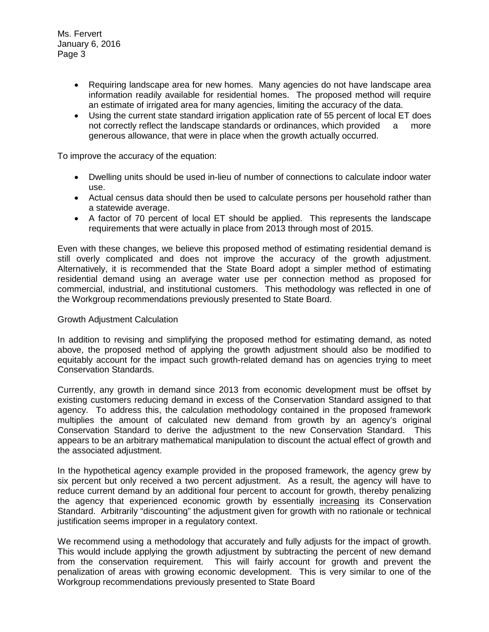- Requiring landscape area for new homes. Many agencies do not have landscape area information readily available for residential homes. The proposed method will require an estimate of irrigated area for many agencies, limiting the accuracy of the data.
- Using the current state standard irrigation application rate of 55 percent of local ET does not correctly reflect the landscape standards or ordinances, which provided a more generous allowance, that were in place when the growth actually occurred.

To improve the accuracy of the equation:

- Dwelling units should be used in-lieu of number of connections to calculate indoor water use.
- Actual census data should then be used to calculate persons per household rather than a statewide average.
- A factor of 70 percent of local ET should be applied. This represents the landscape requirements that were actually in place from 2013 through most of 2015.

Even with these changes, we believe this proposed method of estimating residential demand is still overly complicated and does not improve the accuracy of the growth adjustment. Alternatively, it is recommended that the State Board adopt a simpler method of estimating residential demand using an average water use per connection method as proposed for commercial, industrial, and institutional customers. This methodology was reflected in one of the Workgroup recommendations previously presented to State Board.

# Growth Adjustment Calculation

In addition to revising and simplifying the proposed method for estimating demand, as noted above, the proposed method of applying the growth adjustment should also be modified to equitably account for the impact such growth-related demand has on agencies trying to meet Conservation Standards.

Currently, any growth in demand since 2013 from economic development must be offset by existing customers reducing demand in excess of the Conservation Standard assigned to that agency. To address this, the calculation methodology contained in the proposed framework multiplies the amount of calculated new demand from growth by an agency's original Conservation Standard to derive the adjustment to the new Conservation Standard. This appears to be an arbitrary mathematical manipulation to discount the actual effect of growth and the associated adjustment.

In the hypothetical agency example provided in the proposed framework, the agency grew by six percent but only received a two percent adjustment. As a result, the agency will have to reduce current demand by an additional four percent to account for growth, thereby penalizing the agency that experienced economic growth by essentially increasing its Conservation Standard. Arbitrarily "discounting" the adjustment given for growth with no rationale or technical justification seems improper in a regulatory context.

We recommend using a methodology that accurately and fully adjusts for the impact of growth. This would include applying the growth adjustment by subtracting the percent of new demand from the conservation requirement. This will fairly account for growth and prevent the penalization of areas with growing economic development. This is very similar to one of the Workgroup recommendations previously presented to State Board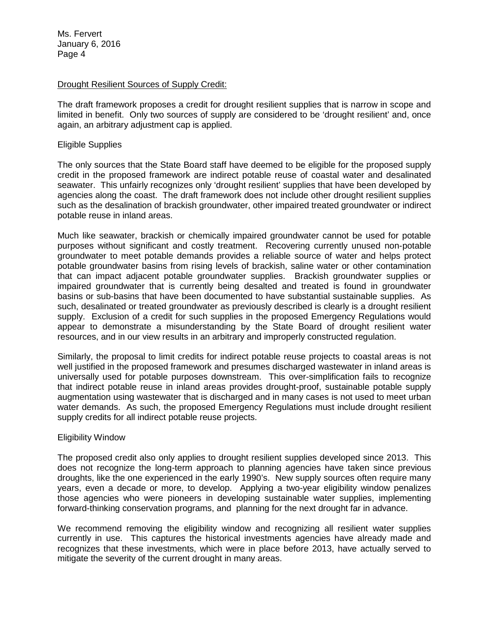## Drought Resilient Sources of Supply Credit:

The draft framework proposes a credit for drought resilient supplies that is narrow in scope and limited in benefit. Only two sources of supply are considered to be 'drought resilient' and, once again, an arbitrary adjustment cap is applied.

#### Eligible Supplies

The only sources that the State Board staff have deemed to be eligible for the proposed supply credit in the proposed framework are indirect potable reuse of coastal water and desalinated seawater. This unfairly recognizes only 'drought resilient' supplies that have been developed by agencies along the coast. The draft framework does not include other drought resilient supplies such as the desalination of brackish groundwater, other impaired treated groundwater or indirect potable reuse in inland areas.

Much like seawater, brackish or chemically impaired groundwater cannot be used for potable purposes without significant and costly treatment. Recovering currently unused non-potable groundwater to meet potable demands provides a reliable source of water and helps protect potable groundwater basins from rising levels of brackish, saline water or other contamination that can impact adjacent potable groundwater supplies. Brackish groundwater supplies or impaired groundwater that is currently being desalted and treated is found in groundwater basins or sub-basins that have been documented to have substantial sustainable supplies. As such, desalinated or treated groundwater as previously described is clearly is a drought resilient supply. Exclusion of a credit for such supplies in the proposed Emergency Regulations would appear to demonstrate a misunderstanding by the State Board of drought resilient water resources, and in our view results in an arbitrary and improperly constructed regulation.

Similarly, the proposal to limit credits for indirect potable reuse projects to coastal areas is not well justified in the proposed framework and presumes discharged wastewater in inland areas is universally used for potable purposes downstream. This over-simplification fails to recognize that indirect potable reuse in inland areas provides drought-proof, sustainable potable supply augmentation using wastewater that is discharged and in many cases is not used to meet urban water demands. As such, the proposed Emergency Regulations must include drought resilient supply credits for all indirect potable reuse projects.

## Eligibility Window

The proposed credit also only applies to drought resilient supplies developed since 2013. This does not recognize the long-term approach to planning agencies have taken since previous droughts, like the one experienced in the early 1990's. New supply sources often require many years, even a decade or more, to develop. Applying a two-year eligibility window penalizes those agencies who were pioneers in developing sustainable water supplies, implementing forward-thinking conservation programs, and planning for the next drought far in advance.

We recommend removing the eligibility window and recognizing all resilient water supplies currently in use. This captures the historical investments agencies have already made and recognizes that these investments, which were in place before 2013, have actually served to mitigate the severity of the current drought in many areas.